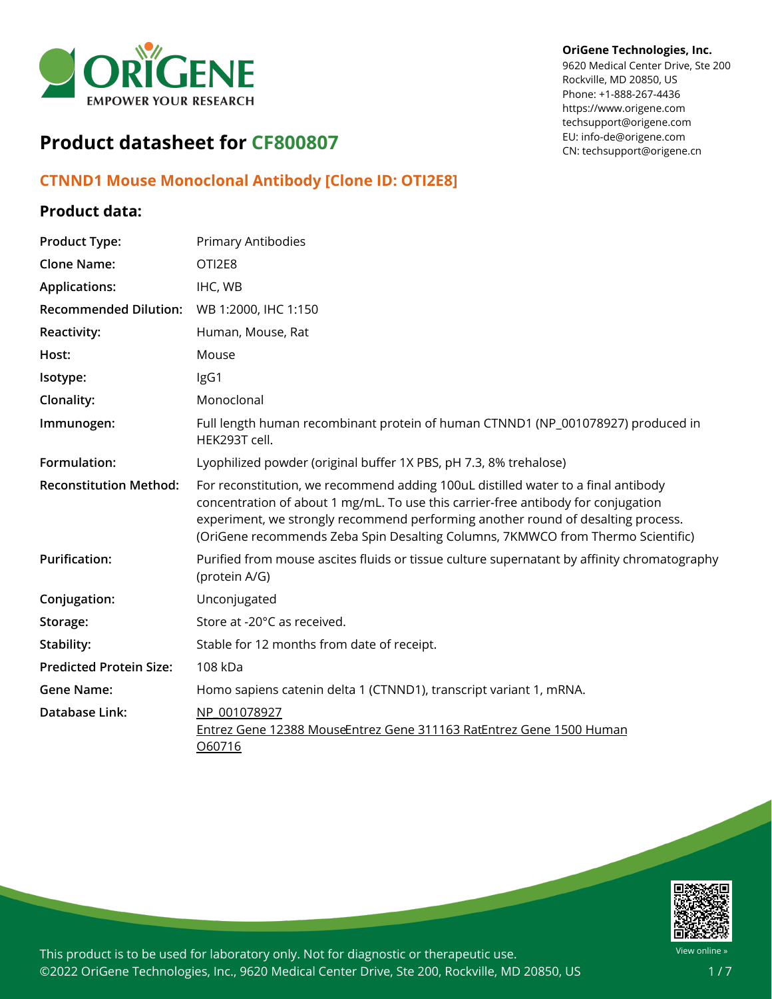

#### **OriGene Technologies, Inc.**

9620 Medical Center Drive, Ste 200 Rockville, MD 20850, US Phone: +1-888-267-4436 https://www.origene.com techsupport@origene.com EU: info-de@origene.com CN: techsupport@origene.cn

# **Product datasheet for CF800807**

### **CTNND1 Mouse Monoclonal Antibody [Clone ID: OTI2E8]**

#### **Product data:**

| <b>Product Type:</b>           | <b>Primary Antibodies</b>                                                                                                                                                                                                                                                                                                                     |
|--------------------------------|-----------------------------------------------------------------------------------------------------------------------------------------------------------------------------------------------------------------------------------------------------------------------------------------------------------------------------------------------|
| <b>Clone Name:</b>             | OTI2E8                                                                                                                                                                                                                                                                                                                                        |
| <b>Applications:</b>           | IHC, WB                                                                                                                                                                                                                                                                                                                                       |
| <b>Recommended Dilution:</b>   | WB 1:2000, IHC 1:150                                                                                                                                                                                                                                                                                                                          |
| <b>Reactivity:</b>             | Human, Mouse, Rat                                                                                                                                                                                                                                                                                                                             |
| Host:                          | Mouse                                                                                                                                                                                                                                                                                                                                         |
| Isotype:                       | IgG1                                                                                                                                                                                                                                                                                                                                          |
| Clonality:                     | Monoclonal                                                                                                                                                                                                                                                                                                                                    |
| Immunogen:                     | Full length human recombinant protein of human CTNND1 (NP_001078927) produced in<br>HEK293T cell.                                                                                                                                                                                                                                             |
| Formulation:                   | Lyophilized powder (original buffer 1X PBS, pH 7.3, 8% trehalose)                                                                                                                                                                                                                                                                             |
| <b>Reconstitution Method:</b>  | For reconstitution, we recommend adding 100uL distilled water to a final antibody<br>concentration of about 1 mg/mL. To use this carrier-free antibody for conjugation<br>experiment, we strongly recommend performing another round of desalting process.<br>(OriGene recommends Zeba Spin Desalting Columns, 7KMWCO from Thermo Scientific) |
| <b>Purification:</b>           | Purified from mouse ascites fluids or tissue culture supernatant by affinity chromatography<br>(protein A/G)                                                                                                                                                                                                                                  |
| Conjugation:                   | Unconjugated                                                                                                                                                                                                                                                                                                                                  |
| Storage:                       | Store at -20°C as received.                                                                                                                                                                                                                                                                                                                   |
| Stability:                     | Stable for 12 months from date of receipt.                                                                                                                                                                                                                                                                                                    |
| <b>Predicted Protein Size:</b> | 108 kDa                                                                                                                                                                                                                                                                                                                                       |
| <b>Gene Name:</b>              | Homo sapiens catenin delta 1 (CTNND1), transcript variant 1, mRNA.                                                                                                                                                                                                                                                                            |
| Database Link:                 | NP 001078927<br>Entrez Gene 12388 MouseEntrez Gene 311163 RatEntrez Gene 1500 Human<br>060716                                                                                                                                                                                                                                                 |

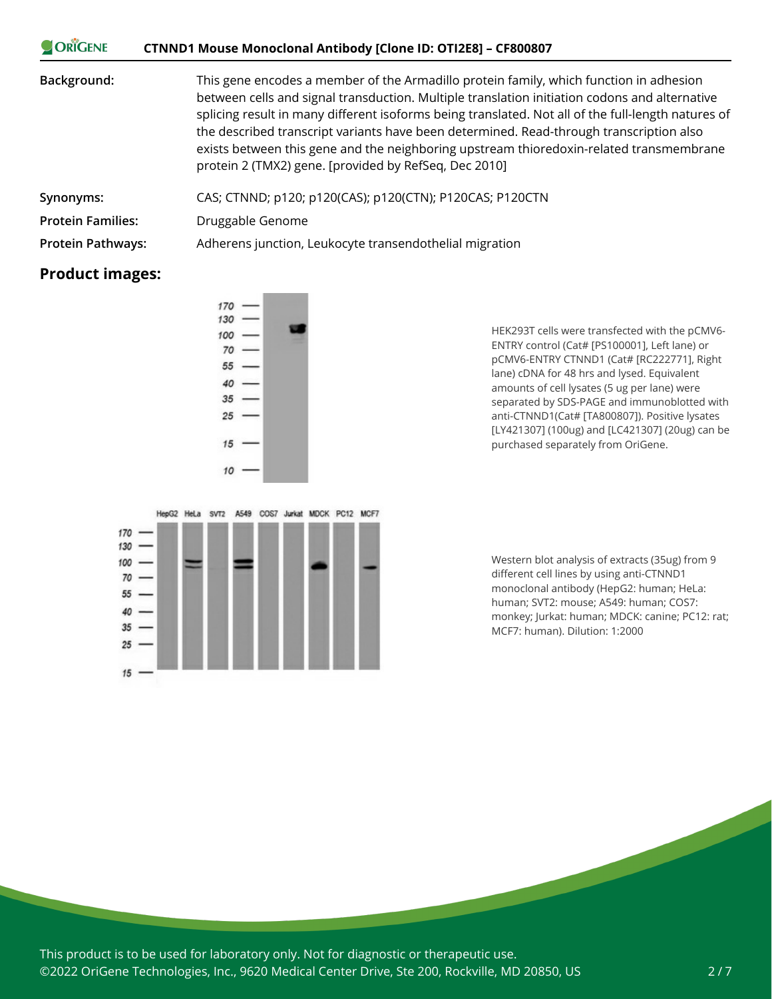| <b>ORIGENE</b>           | CTNND1 Mouse Monoclonal Antibody [Clone ID: OTI2E8] – CF800807                                                                                                                                                                                                                                                                                                                                                                                                                                                                               |
|--------------------------|----------------------------------------------------------------------------------------------------------------------------------------------------------------------------------------------------------------------------------------------------------------------------------------------------------------------------------------------------------------------------------------------------------------------------------------------------------------------------------------------------------------------------------------------|
| Background:              | This gene encodes a member of the Armadillo protein family, which function in adhesion<br>between cells and signal transduction. Multiple translation initiation codons and alternative<br>splicing result in many different isoforms being translated. Not all of the full-length natures of<br>the described transcript variants have been determined. Read-through transcription also<br>exists between this gene and the neighboring upstream thioredoxin-related transmembrane<br>protein 2 (TMX2) gene. [provided by RefSeq, Dec 2010] |
| Synonyms:                | CAS; CTNND; p120; p120(CAS); p120(CTN); P120CAS; P120CTN                                                                                                                                                                                                                                                                                                                                                                                                                                                                                     |
| <b>Protein Families:</b> | Druggable Genome                                                                                                                                                                                                                                                                                                                                                                                                                                                                                                                             |
| <b>Protein Pathways:</b> | Adherens junction, Leukocyte transendothelial migration                                                                                                                                                                                                                                                                                                                                                                                                                                                                                      |

## **Product images:**

 $\sim$   $\sqrt{2}$ 





HEK293T cells were transfected with the pCMV6- ENTRY control (Cat# [PS100001], Left lane) or pCMV6-ENTRY CTNND1 (Cat# [RC222771], Right lane) cDNA for 48 hrs and lysed. Equivalent amounts of cell lysates (5 ug per lane) were separated by SDS-PAGE and immunoblotted with anti-CTNND1(Cat# [TA800807]). Positive lysates [LY421307] (100ug) and [LC421307] (20ug) can be purchased separately from OriGene.

Western blot analysis of extracts (35ug) from 9 different cell lines by using anti-CTNND1 monoclonal antibody (HepG2: human; HeLa: human; SVT2: mouse; A549: human; COS7: monkey; Jurkat: human; MDCK: canine; PC12: rat; MCF7: human). Dilution: 1:2000

This product is to be used for laboratory only. Not for diagnostic or therapeutic use. ©2022 OriGene Technologies, Inc., 9620 Medical Center Drive, Ste 200, Rockville, MD 20850, US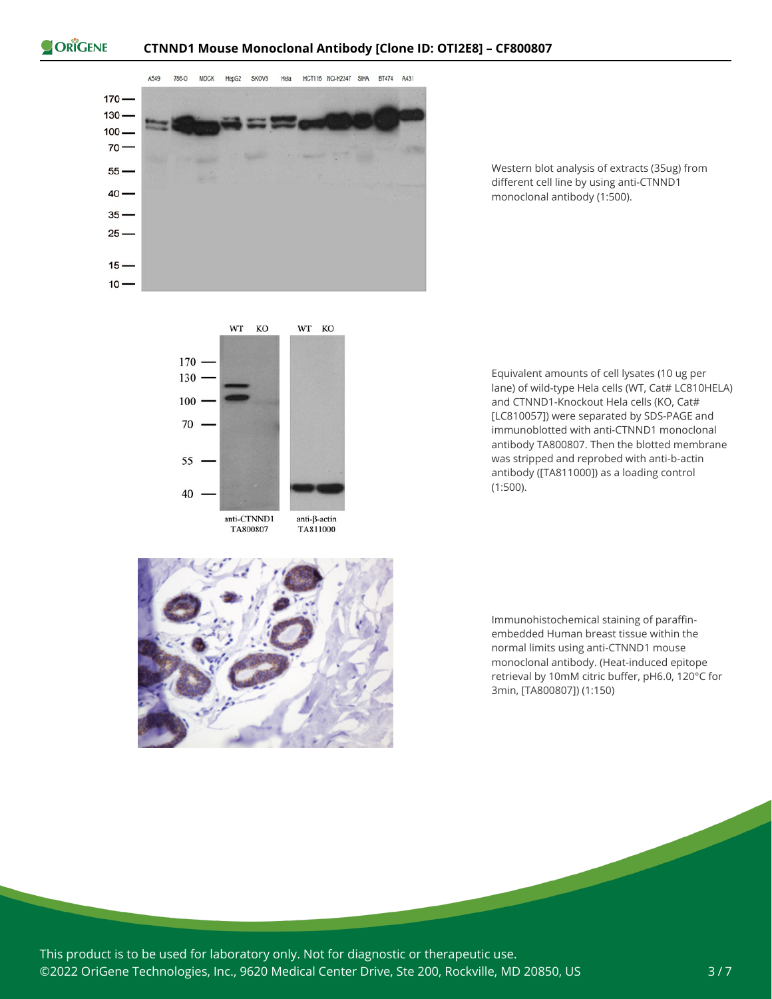



Western blot analysis of extracts (35ug) from different cell line by using anti-CTNND1 monoclonal antibody (1:500).





Equivalent amounts of cell lysates (10 ug per lane) of wild-type Hela cells (WT, Cat# LC810HELA) and CTNND1-Knockout Hela cells (KO, Cat# [LC810057]) were separated by SDS-PAGE and immunoblotted with anti-CTNND1 monoclonal antibody TA800807. Then the blotted membrane was stripped and reprobed with anti-b-actin antibody ([TA811000]) as a loading control (1:500).

Immunohistochemical staining of paraffinembedded Human breast tissue within the normal limits using anti-CTNND1 mouse monoclonal antibody. (Heat-induced epitope retrieval by 10mM citric buffer, pH6.0, 120°C for 3min, [TA800807]) (1:150)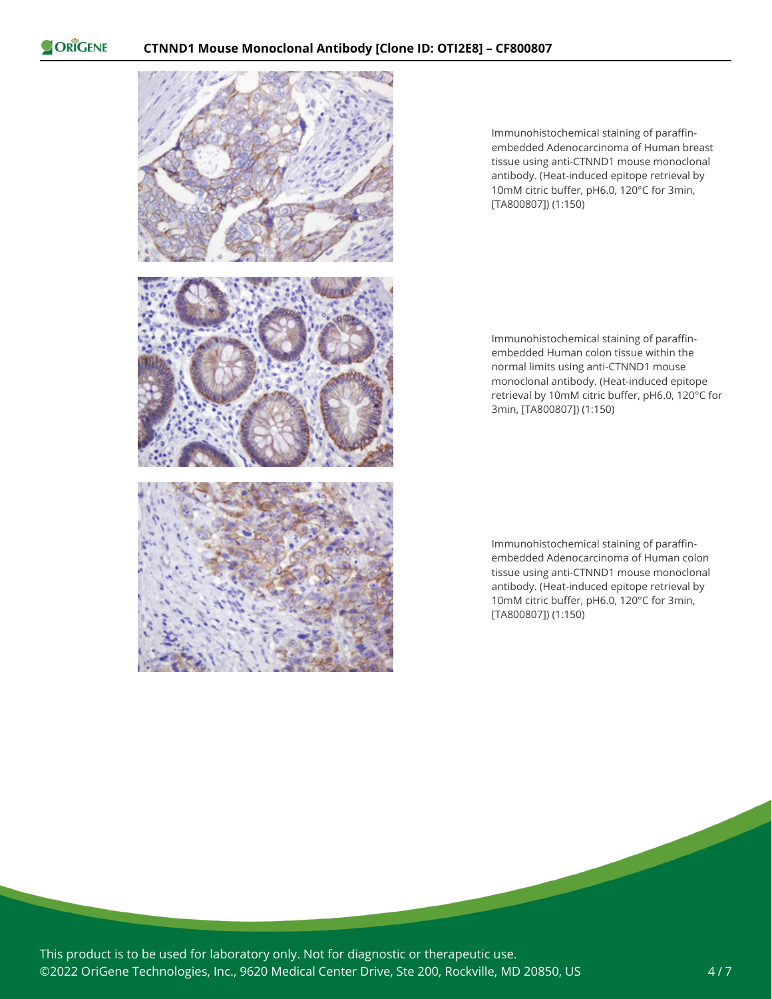

Immunohistochemical staining of paraffinembedded Adenocarcinoma of Human breast tissue using anti-CTNND1 mouse monoclonal antibody. (Heat-induced epitope retrieval by 10mM citric buffer, pH6.0, 120°C for 3min, [TA800807]) (1:150)

Immunohistochemical staining of paraffinembedded Human colon tissue within the normal limits using anti-CTNND1 mouse monoclonal antibody. (Heat-induced epitope retrieval by 10mM citric buffer, pH6.0, 120°C for 3min, [TA800807]) (1:150)

Immunohistochemical staining of paraffinembedded Adenocarcinoma of Human colon tissue using anti-CTNND1 mouse monoclonal antibody. (Heat-induced epitope retrieval by 10mM citric buffer, pH6.0, 120°C for 3min, [TA800807]) (1:150)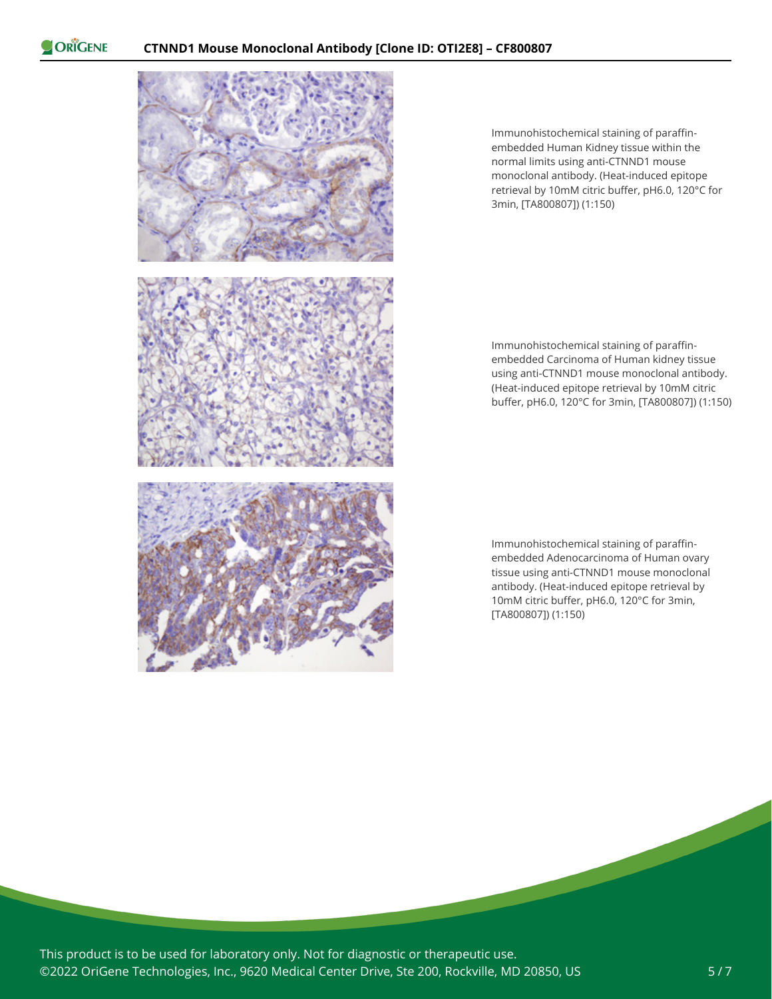

Immunohistochemical staining of paraffinembedded Human Kidney tissue within the normal limits using anti-CTNND1 mouse monoclonal antibody. (Heat-induced epitope retrieval by 10mM citric buffer, pH6.0, 120°C for 3min, [TA800807]) (1:150)

Immunohistochemical staining of paraffinembedded Carcinoma of Human kidney tissue using anti-CTNND1 mouse monoclonal antibody. (Heat-induced epitope retrieval by 10mM citric buffer, pH6.0, 120°C for 3min, [TA800807]) (1:150)

Immunohistochemical staining of paraffinembedded Adenocarcinoma of Human ovary tissue using anti-CTNND1 mouse monoclonal antibody. (Heat-induced epitope retrieval by 10mM citric buffer, pH6.0, 120°C for 3min, [TA800807]) (1:150)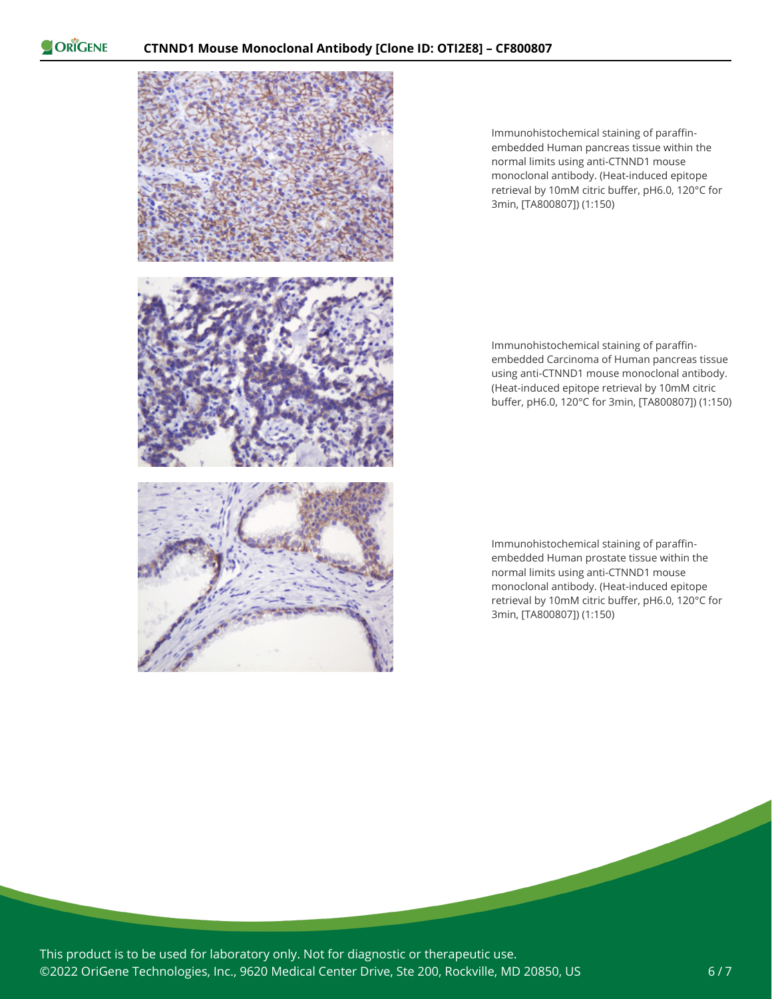

Immunohistochemical staining of paraffinembedded Human pancreas tissue within the normal limits using anti-CTNND1 mouse monoclonal antibody. (Heat-induced epitope retrieval by 10mM citric buffer, pH6.0, 120°C for 3min, [TA800807]) (1:150)

Immunohistochemical staining of paraffinembedded Carcinoma of Human pancreas tissue using anti-CTNND1 mouse monoclonal antibody. (Heat-induced epitope retrieval by 10mM citric buffer, pH6.0, 120°C for 3min, [TA800807]) (1:150)

Immunohistochemical staining of paraffinembedded Human prostate tissue within the normal limits using anti-CTNND1 mouse monoclonal antibody. (Heat-induced epitope retrieval by 10mM citric buffer, pH6.0, 120°C for 3min, [TA800807]) (1:150)